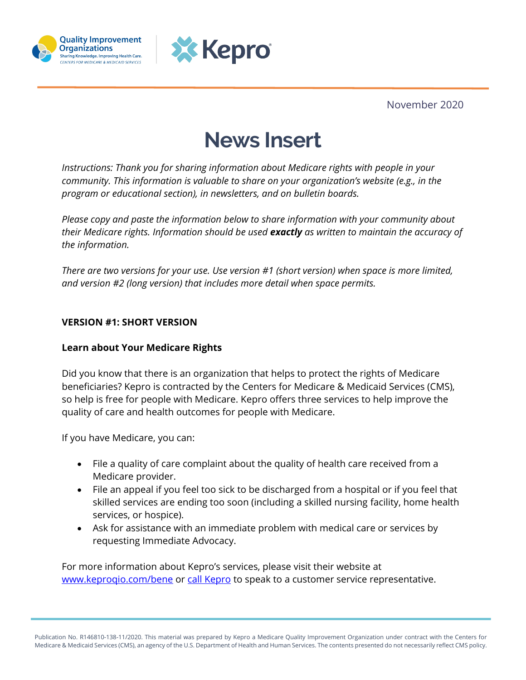



November 2020

# **News Insert**

*Instructions: Thank you for sharing information about Medicare rights with people in your community. This information is valuable to share on your organization's website (e.g., in the program or educational section), in newsletters, and on bulletin boards.*

*Please copy and paste the information below to share information with your community about their Medicare rights. Information should be used exactly as written to maintain the accuracy of the information.*

*There are two versions for your use. Use version #1 (short version) when space is more limited, and version #2 (long version) that includes more detail when space permits.* 

## **VERSION #1: SHORT VERSION**

#### **Learn about Your Medicare Rights**

Did you know that there is an organization that helps to protect the rights of Medicare beneficiaries? Kepro is contracted by the Centers for Medicare & Medicaid Services (CMS), so help is free for people with Medicare. Kepro offers three services to help improve the quality of care and health outcomes for people with Medicare.

If you have Medicare, you can:

- File a quality of care complaint about the quality of health care received from a Medicare provider.
- File an appeal if you feel too sick to be discharged from a hospital or if you feel that skilled services are ending too soon (including a skilled nursing facility, home health services, or hospice).
- Ask for assistance with an immediate problem with medical care or services by requesting Immediate Advocacy.

For more information about Kepro's services, please visit their website at www.keprogio.com/bene or [call Kepro](https://www.keproqio.com/aboutus/contacts) to speak to a customer service representative.